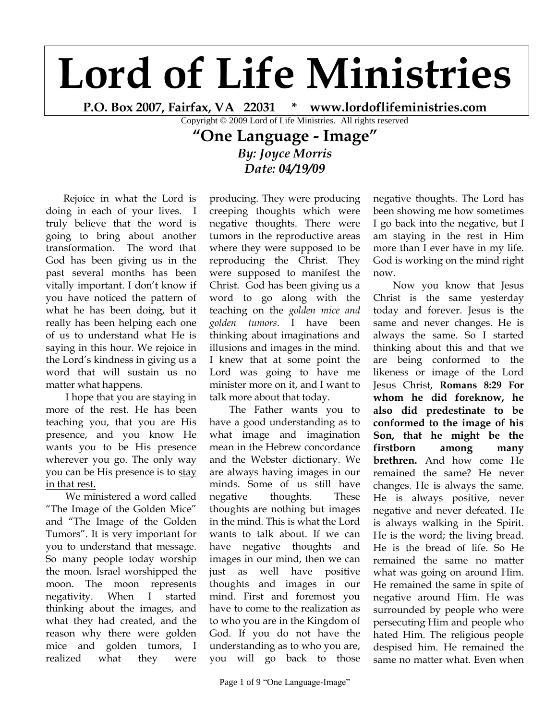## **Lord of Life Ministries**

**P.O. Box 2007, Fairfax, VA 22031 \* www.lordoflifeministries.com**

Copyright © 2009 Lord of Life Ministries. All rights reserved

## **"One Language - Image"** *By: Joyce Morris Date: 04/19/09*

 Rejoice in what the Lord is doing in each of your lives. I truly believe that the word is going to bring about another transformation. The word that God has been giving us in the past several months has been vitally important. I don't know if you have noticed the pattern of what he has been doing, but it really has been helping each one of us to understand what He is saying in this hour. We rejoice in the Lord's kindness in giving us a word that will sustain us no matter what happens.

I hope that you are staying in more of the rest. He has been teaching you, that you are His presence, and you know He wants you to be His presence wherever you go. The only way you can be His presence is to stay in that rest.

We ministered a word called "The Image of the Golden Mice" and "The Image of the Golden Tumors". It is very important for you to understand that message. So many people today worship the moon. Israel worshipped the moon. The moon represents negativity. When I started thinking about the images, and what they had created, and the reason why there were golden mice and golden tumors, I realized what they were

producing. They were producing creeping thoughts which were negative thoughts. There were tumors in the reproductive areas where they were supposed to be reproducing the Christ. They were supposed to manifest the Christ. God has been giving us a word to go along with the teaching on the *golden mice and golden tumors*. I have been thinking about imaginations and illusions and images in the mind. I knew that at some point the Lord was going to have me minister more on it, and I want to talk more about that today.

The Father wants you to have a good understanding as to what image and imagination mean in the Hebrew concordance and the Webster dictionary. We are always having images in our minds. Some of us still have negative thoughts. These thoughts are nothing but images in the mind. This is what the Lord wants to talk about. If we can have negative thoughts and images in our mind, then we can just as well have positive thoughts and images in our mind. First and foremost you have to come to the realization as to who you are in the Kingdom of God. If you do not have the understanding as to who you are, you will go back to those

negative thoughts. The Lord has been showing me how sometimes I go back into the negative, but I am staying in the rest in Him more than I ever have in my life. God is working on the mind right now.

Now you know that Jesus Christ is the same yesterday today and forever. Jesus is the same and never changes. He is always the same. So I started thinking about this and that we are being conformed to the likeness or image of the Lord Jesus Christ, **Romans 8:29 For whom he did foreknow, he also did predestinate to be conformed to the image of his Son, that he might be the firstborn among many brethren.** And how come He remained the same? He never changes. He is always the same. He is always positive, never negative and never defeated. He is always walking in the Spirit. He is the word; the living bread. He is the bread of life. So He remained the same no matter what was going on around Him. He remained the same in spite of negative around Him. He was surrounded by people who were persecuting Him and people who hated Him. The religious people despised him. He remained the same no matter what. Even when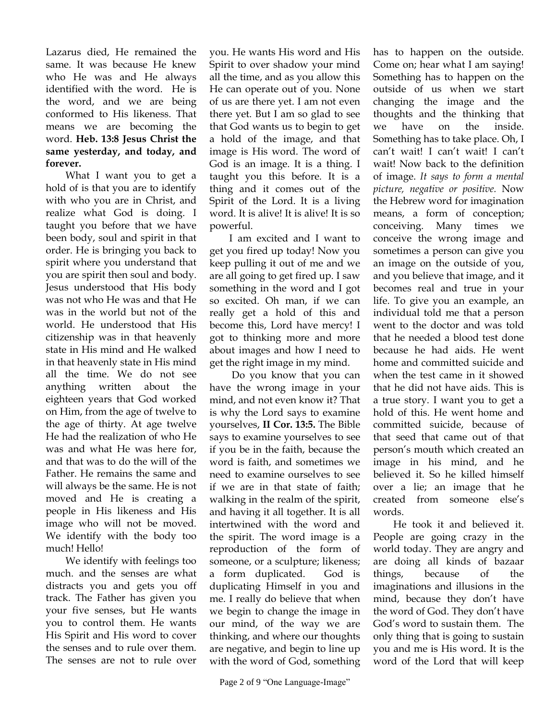Lazarus died, He remained the same. It was because He knew who He was and He always identified with the word. He is the word, and we are being conformed to His likeness. That means we are becoming the word. **Heb. 13:8 Jesus Christ the same yesterday, and today, and forever.**

What I want you to get a hold of is that you are to identify with who you are in Christ, and realize what God is doing. I taught you before that we have been body, soul and spirit in that order. He is bringing you back to spirit where you understand that you are spirit then soul and body. Jesus understood that His body was not who He was and that He was in the world but not of the world. He understood that His citizenship was in that heavenly state in His mind and He walked in that heavenly state in His mind all the time. We do not see anything written about the eighteen years that God worked on Him, from the age of twelve to the age of thirty. At age twelve He had the realization of who He was and what He was here for, and that was to do the will of the Father. He remains the same and will always be the same. He is not moved and He is creating a people in His likeness and His image who will not be moved. We identify with the body too much! Hello!

We identify with feelings too much. and the senses are what distracts you and gets you off track. The Father has given you your five senses, but He wants you to control them. He wants His Spirit and His word to cover the senses and to rule over them. The senses are not to rule over

you. He wants His word and His Spirit to over shadow your mind all the time, and as you allow this He can operate out of you. None of us are there yet. I am not even there yet. But I am so glad to see that God wants us to begin to get a hold of the image, and that image is His word. The word of God is an image. It is a thing. I taught you this before. It is a thing and it comes out of the Spirit of the Lord. It is a living word. It is alive! It is alive! It is so powerful.

I am excited and I want to get you fired up today! Now you keep pulling it out of me and we are all going to get fired up. I saw something in the word and I got so excited. Oh man, if we can really get a hold of this and become this, Lord have mercy! I got to thinking more and more about images and how I need to get the right image in my mind.

Do you know that you can have the wrong image in your mind, and not even know it? That is why the Lord says to examine yourselves, **II Cor. 13:5.** The Bible says to examine yourselves to see if you be in the faith, because the word is faith, and sometimes we need to examine ourselves to see if we are in that state of faith; walking in the realm of the spirit, and having it all together. It is all intertwined with the word and the spirit. The word image is a reproduction of the form of someone, or a sculpture; likeness; a form duplicated. God is duplicating Himself in you and me. I really do believe that when we begin to change the image in our mind, of the way we are thinking, and where our thoughts are negative, and begin to line up with the word of God, something

has to happen on the outside. Come on; hear what I am saying! Something has to happen on the outside of us when we start changing the image and the thoughts and the thinking that we have on the inside. Something has to take place. Oh, I can't wait! I can't wait! I can't wait! Now back to the definition of image. *It says to form a mental picture, negative or positive.* Now the Hebrew word for imagination means, a form of conception; conceiving. Many times we conceive the wrong image and sometimes a person can give you an image on the outside of you, and you believe that image, and it becomes real and true in your life. To give you an example, an individual told me that a person went to the doctor and was told that he needed a blood test done because he had aids. He went home and committed suicide and when the test came in it showed that he did not have aids. This is a true story. I want you to get a hold of this. He went home and committed suicide, because of that seed that came out of that person's mouth which created an image in his mind, and he believed it. So he killed himself over a lie; an image that he created from someone else's words.

 He took it and believed it. People are going crazy in the world today. They are angry and are doing all kinds of bazaar things, because of the imaginations and illusions in the mind, because they don't have the word of God. They don't have God's word to sustain them. The only thing that is going to sustain you and me is His word. It is the word of the Lord that will keep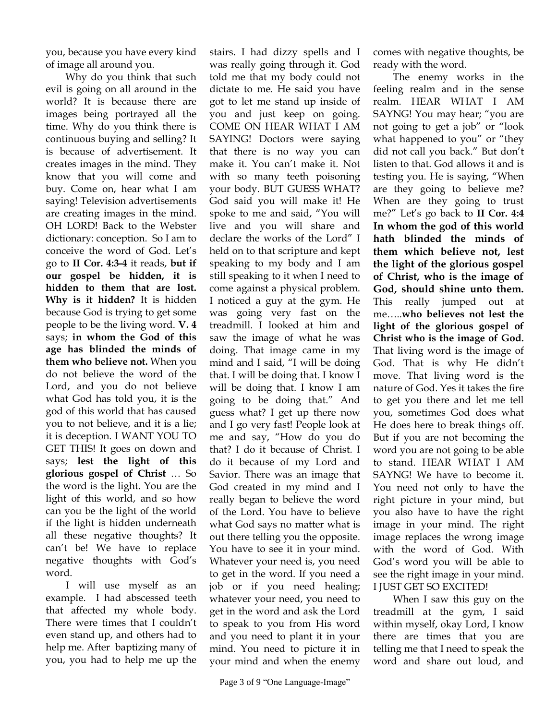you, because you have every kind of image all around you.

Why do you think that such evil is going on all around in the world? It is because there are images being portrayed all the time. Why do you think there is continuous buying and selling? It is because of advertisement. It creates images in the mind. They know that you will come and buy. Come on, hear what I am saying! Television advertisements are creating images in the mind. OH LORD! Back to the Webster dictionary: conception. So I am to conceive the word of God. Let's go to **II Cor. 4:3-4** it reads, **but if our gospel be hidden, it is hidden to them that are lost. Why is it hidden?** It is hidden because God is trying to get some people to be the living word. **V. 4**  says; **in whom the God of this age has blinded the minds of them who believe not.** When you do not believe the word of the Lord, and you do not believe what God has told you, it is the god of this world that has caused you to not believe, and it is a lie; it is deception. I WANT YOU TO GET THIS! It goes on down and says; **lest the light of this glorious gospel of Christ** … So the word is the light. You are the light of this world, and so how can you be the light of the world if the light is hidden underneath all these negative thoughts? It can't be! We have to replace negative thoughts with God's word.

 I will use myself as an example. I had abscessed teeth that affected my whole body. There were times that I couldn't even stand up, and others had to help me. After baptizing many of you, you had to help me up the

stairs. I had dizzy spells and I was really going through it. God told me that my body could not dictate to me. He said you have got to let me stand up inside of you and just keep on going. COME ON HEAR WHAT I AM SAYING! Doctors were saying that there is no way you can make it. You can't make it. Not with so many teeth poisoning your body. BUT GUESS WHAT? God said you will make it! He spoke to me and said, "You will live and you will share and declare the works of the Lord" I held on to that scripture and kept speaking to my body and I am still speaking to it when I need to come against a physical problem. I noticed a guy at the gym. He was going very fast on the treadmill. I looked at him and saw the image of what he was doing. That image came in my mind and I said, "I will be doing that. I will be doing that. I know I will be doing that. I know I am going to be doing that." And guess what? I get up there now and I go very fast! People look at me and say, "How do you do that? I do it because of Christ. I do it because of my Lord and Savior. There was an image that God created in my mind and I really began to believe the word of the Lord. You have to believe what God says no matter what is out there telling you the opposite. You have to see it in your mind. Whatever your need is, you need to get in the word. If you need a job or if you need healing; whatever your need, you need to get in the word and ask the Lord to speak to you from His word and you need to plant it in your mind. You need to picture it in your mind and when the enemy comes with negative thoughts, be ready with the word.

The enemy works in the feeling realm and in the sense realm. HEAR WHAT I AM SAYNG! You may hear; "you are not going to get a job" or "look what happened to you" or "they did not call you back." But don't listen to that. God allows it and is testing you. He is saying, "When are they going to believe me? When are they going to trust me?" Let's go back to **II Cor. 4:4 In whom the god of this world hath blinded the minds of them which believe not, lest the light of the glorious gospel of Christ, who is the image of God, should shine unto them.**  This really jumped out at me…..**who believes not lest the light of the glorious gospel of Christ who is the image of God.** That living word is the image of God. That is why He didn't move. That living word is the nature of God. Yes it takes the fire to get you there and let me tell you, sometimes God does what He does here to break things off. But if you are not becoming the word you are not going to be able to stand. HEAR WHAT I AM SAYNG! We have to become it. You need not only to have the right picture in your mind, but you also have to have the right image in your mind. The right image replaces the wrong image with the word of God. With God's word you will be able to see the right image in your mind. I JUST GET SO EXCITED!

When I saw this guy on the treadmill at the gym, I said within myself, okay Lord, I know there are times that you are telling me that I need to speak the word and share out loud, and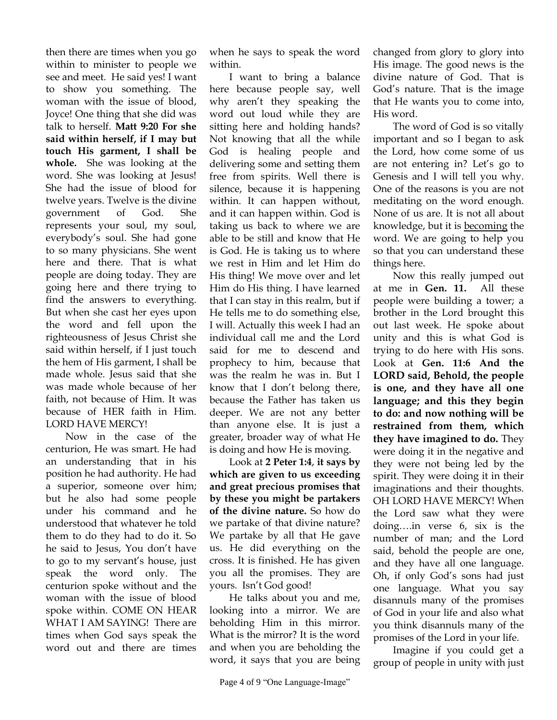then there are times when you go within to minister to people we see and meet. He said yes! I want to show you something. The woman with the issue of blood, Joyce! One thing that she did was talk to herself. **Matt 9:20 For she said within herself, if I may but touch His garment, I shall be whole.** She was looking at the word. She was looking at Jesus! She had the issue of blood for twelve years. Twelve is the divine government of God. She represents your soul, my soul, everybody's soul. She had gone to so many physicians. She went here and there. That is what people are doing today. They are going here and there trying to find the answers to everything. But when she cast her eyes upon the word and fell upon the righteousness of Jesus Christ she said within herself, if I just touch the hem of His garment, I shall be made whole. Jesus said that she was made whole because of her faith, not because of Him. It was because of HER faith in Him. LORD HAVE MERCY!

Now in the case of the centurion, He was smart. He had an understanding that in his position he had authority. He had a superior, someone over him; but he also had some people under his command and he understood that whatever he told them to do they had to do it. So he said to Jesus, You don't have to go to my servant's house, just speak the word only. The centurion spoke without and the woman with the issue of blood spoke within. COME ON HEAR WHAT I AM SAYING! There are times when God says speak the word out and there are times

when he says to speak the word within.

I want to bring a balance here because people say, well why aren't they speaking the word out loud while they are sitting here and holding hands? Not knowing that all the while God is healing people and delivering some and setting them free from spirits. Well there is silence, because it is happening within. It can happen without, and it can happen within. God is taking us back to where we are able to be still and know that He is God. He is taking us to where we rest in Him and let Him do His thing! We move over and let Him do His thing. I have learned that I can stay in this realm, but if He tells me to do something else, I will. Actually this week I had an individual call me and the Lord said for me to descend and prophecy to him, because that was the realm he was in. But I know that I don't belong there, because the Father has taken us deeper. We are not any better than anyone else. It is just a greater, broader way of what He is doing and how He is moving.

Look at **2 Peter 1:4**, **it says by which are given to us exceeding and great precious promises that by these you might be partakers of the divine nature.** So how do we partake of that divine nature? We partake by all that He gave us. He did everything on the cross. It is finished. He has given you all the promises. They are yours. Isn't God good!

He talks about you and me, looking into a mirror. We are beholding Him in this mirror. What is the mirror? It is the word and when you are beholding the word, it says that you are being changed from glory to glory into His image. The good news is the divine nature of God. That is God's nature. That is the image that He wants you to come into, His word.

The word of God is so vitally important and so I began to ask the Lord, how come some of us are not entering in? Let's go to Genesis and I will tell you why. One of the reasons is you are not meditating on the word enough. None of us are. It is not all about knowledge, but it is becoming the word. We are going to help you so that you can understand these things here.

Now this really jumped out at me in **Gen. 11.** All these people were building a tower; a brother in the Lord brought this out last week. He spoke about unity and this is what God is trying to do here with His sons. Look at **Gen. 11:6 And the LORD said, Behold, the people is one, and they have all one language; and this they begin to do: and now nothing will be restrained from them, which they have imagined to do.** They were doing it in the negative and they were not being led by the spirit. They were doing it in their imaginations and their thoughts. OH LORD HAVE MERCY! When the Lord saw what they were doing….in verse 6, six is the number of man; and the Lord said, behold the people are one, and they have all one language. Oh, if only God's sons had just one language. What you say disannuls many of the promises of God in your life and also what you think disannuls many of the promises of the Lord in your life.

Imagine if you could get a group of people in unity with just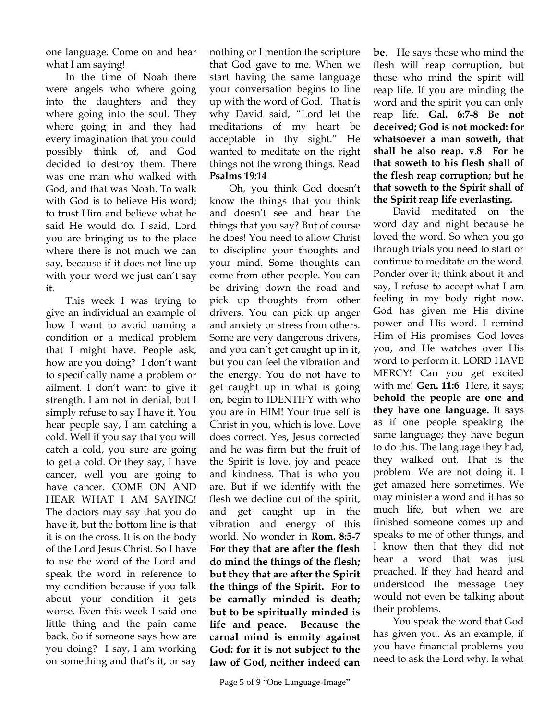one language. Come on and hear what I am saying!

In the time of Noah there were angels who where going into the daughters and they where going into the soul. They where going in and they had every imagination that you could possibly think of, and God decided to destroy them. There was one man who walked with God, and that was Noah. To walk with God is to believe His word; to trust Him and believe what he said He would do. I said, Lord you are bringing us to the place where there is not much we can say, because if it does not line up with your word we just can't say it.

This week I was trying to give an individual an example of how I want to avoid naming a condition or a medical problem that I might have. People ask, how are you doing? I don't want to specifically name a problem or ailment. I don't want to give it strength. I am not in denial, but I simply refuse to say I have it. You hear people say, I am catching a cold. Well if you say that you will catch a cold, you sure are going to get a cold. Or they say, I have cancer, well you are going to have cancer. COME ON AND HEAR WHAT I AM SAYING! The doctors may say that you do have it, but the bottom line is that it is on the cross. It is on the body of the Lord Jesus Christ. So I have to use the word of the Lord and speak the word in reference to my condition because if you talk about your condition it gets worse. Even this week I said one little thing and the pain came back. So if someone says how are you doing? I say, I am working on something and that's it, or say nothing or I mention the scripture that God gave to me. When we start having the same language your conversation begins to line up with the word of God. That is why David said, "Lord let the meditations of my heart be acceptable in thy sight." He wanted to meditate on the right things not the wrong things. Read **Psalms 19:14**

Oh, you think God doesn't know the things that you think and doesn't see and hear the things that you say? But of course he does! You need to allow Christ to discipline your thoughts and your mind. Some thoughts can come from other people. You can be driving down the road and pick up thoughts from other drivers. You can pick up anger and anxiety or stress from others. Some are very dangerous drivers, and you can't get caught up in it, but you can feel the vibration and the energy. You do not have to get caught up in what is going on, begin to IDENTIFY with who you are in HIM! Your true self is Christ in you, which is love. Love does correct. Yes, Jesus corrected and he was firm but the fruit of the Spirit is love, joy and peace and kindness. That is who you are. But if we identify with the flesh we decline out of the spirit, and get caught up in the vibration and energy of this world. No wonder in **Rom. 8:5-7 For they that are after the flesh do mind the things of the flesh; but they that are after the Spirit the things of the Spirit. For to be carnally minded is death; but to be spiritually minded is life and peace. Because the carnal mind is enmity against God: for it is not subject to the law of God, neither indeed can** 

**be**. He says those who mind the flesh will reap corruption, but those who mind the spirit will reap life. If you are minding the word and the spirit you can only reap life. **Gal. 6:7-8 Be not deceived; God is not mocked: for whatsoever a man soweth, that shall he also reap. v.8 For he that soweth to his flesh shall of the flesh reap corruption; but he that soweth to the Spirit shall of the Spirit reap life everlasting.**

David meditated on the word day and night because he loved the word. So when you go through trials you need to start or continue to meditate on the word. Ponder over it; think about it and say, I refuse to accept what I am feeling in my body right now. God has given me His divine power and His word. I remind Him of His promises. God loves you, and He watches over His word to perform it. LORD HAVE MERCY! Can you get excited with me! **Gen. 11:6** Here, it says; **behold the people are one and they have one language.** It says as if one people speaking the same language; they have begun to do this. The language they had, they walked out. That is the problem. We are not doing it. I get amazed here sometimes. We may minister a word and it has so much life, but when we are finished someone comes up and speaks to me of other things, and I know then that they did not hear a word that was just preached. If they had heard and understood the message they would not even be talking about their problems.

You speak the word that God has given you. As an example, if you have financial problems you need to ask the Lord why. Is what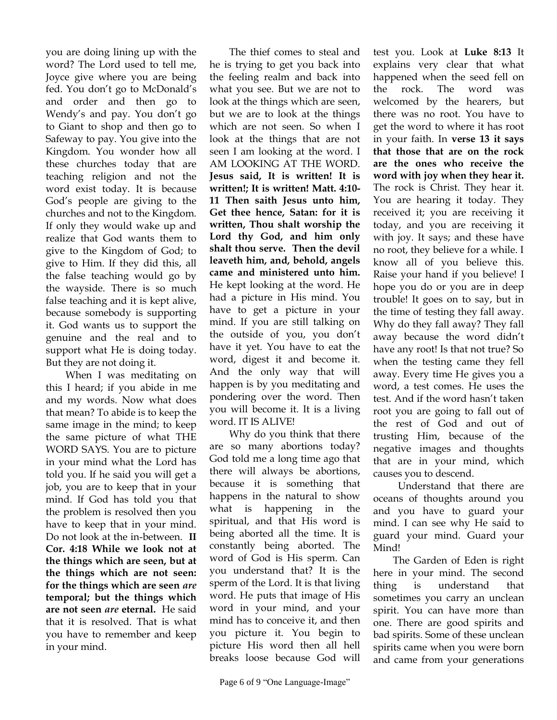you are doing lining up with the word? The Lord used to tell me, Joyce give where you are being fed. You don't go to McDonald's and order and then go to Wendy's and pay. You don't go to Giant to shop and then go to Safeway to pay. You give into the Kingdom. You wonder how all these churches today that are teaching religion and not the word exist today. It is because God's people are giving to the churches and not to the Kingdom. If only they would wake up and realize that God wants them to give to the Kingdom of God; to give to Him. If they did this, all the false teaching would go by the wayside. There is so much false teaching and it is kept alive, because somebody is supporting it. God wants us to support the genuine and the real and to support what He is doing today. But they are not doing it.

When I was meditating on this I heard; if you abide in me and my words. Now what does that mean? To abide is to keep the same image in the mind; to keep the same picture of what THE WORD SAYS. You are to picture in your mind what the Lord has told you. If he said you will get a job, you are to keep that in your mind. If God has told you that the problem is resolved then you have to keep that in your mind. Do not look at the in-between. **II Cor. 4:18 While we look not at the things which are seen, but at the things which are not seen: for the things which are seen** *are* **temporal; but the things which are not seen** *are* **eternal.** He said that it is resolved. That is what you have to remember and keep in your mind.

The thief comes to steal and he is trying to get you back into the feeling realm and back into what you see. But we are not to look at the things which are seen, but we are to look at the things which are not seen. So when I look at the things that are not seen I am looking at the word. I AM LOOKING AT THE WORD. **Jesus said, It is written! It is written!; It is written! Matt. 4:10- 11 Then saith Jesus unto him, Get thee hence, Satan: for it is written, Thou shalt worship the Lord thy God, and him only shalt thou serve. Then the devil leaveth him, and, behold, angels came and ministered unto him.**  He kept looking at the word. He had a picture in His mind. You have to get a picture in your mind. If you are still talking on the outside of you, you don't have it yet. You have to eat the word, digest it and become it. And the only way that will happen is by you meditating and pondering over the word. Then you will become it. It is a living word. IT IS ALIVE!

Why do you think that there are so many abortions today? God told me a long time ago that there will always be abortions, because it is something that happens in the natural to show what is happening in the spiritual, and that His word is being aborted all the time. It is constantly being aborted. The word of God is His sperm. Can you understand that? It is the sperm of the Lord. It is that living word. He puts that image of His word in your mind, and your mind has to conceive it, and then you picture it. You begin to picture His word then all hell breaks loose because God will

test you. Look at **Luke 8:13** It explains very clear that what happened when the seed fell on the rock. The word was welcomed by the hearers, but there was no root. You have to get the word to where it has root in your faith. In **verse 13 it says that those that are on the rock are the ones who receive the word with joy when they hear it.** The rock is Christ. They hear it. You are hearing it today. They received it; you are receiving it today, and you are receiving it with joy. It says; and these have no root, they believe for a while. I know all of you believe this. Raise your hand if you believe! I hope you do or you are in deep trouble! It goes on to say, but in the time of testing they fall away. Why do they fall away? They fall away because the word didn't have any root! Is that not true? So when the testing came they fell away. Every time He gives you a word, a test comes. He uses the test. And if the word hasn't taken root you are going to fall out of the rest of God and out of trusting Him, because of the negative images and thoughts that are in your mind, which causes you to descend.

 Understand that there are oceans of thoughts around you and you have to guard your mind. I can see why He said to guard your mind. Guard your Mind!

The Garden of Eden is right here in your mind. The second thing is understand that sometimes you carry an unclean spirit. You can have more than one. There are good spirits and bad spirits. Some of these unclean spirits came when you were born and came from your generations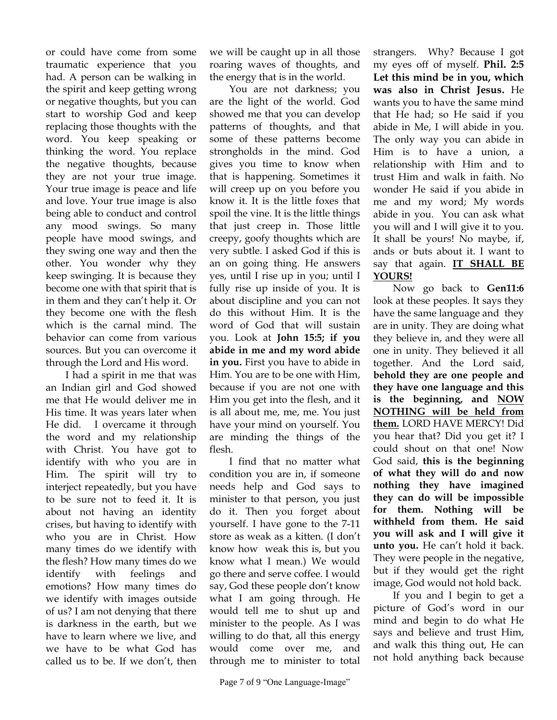or could have come from some traumatic experience that you had. A person can be walking in the spirit and keep getting wrong or negative thoughts, but you can start to worship God and keep replacing those thoughts with the word. You keep speaking or thinking the word. You replace the negative thoughts, because they are not your true image. Your true image is peace and life and love. Your true image is also being able to conduct and control any mood swings. So many people have mood swings, and they swing one way and then the other. You wonder why they keep swinging. It is because they become one with that spirit that is in them and they can't help it. Or they become one with the flesh which is the carnal mind. The behavior can come from various sources. But you can overcome it through the Lord and His word.

I had a spirit in me that was an Indian girl and God showed me that He would deliver me in His time. It was years later when He did. I overcame it through the word and my relationship with Christ. You have got to identify with who you are in Him. The spirit will try to interject repeatedly, but you have to be sure not to feed it. It is about not having an identity crises, but having to identify with who you are in Christ. How many times do we identify with the flesh? How many times do we identify with feelings and emotions? How many times do we identify with images outside of us? I am not denying that there is darkness in the earth, but we have to learn where we live, and we have to be what God has called us to be. If we don't, then

we will be caught up in all those roaring waves of thoughts, and the energy that is in the world.

You are not darkness; you are the light of the world. God showed me that you can develop patterns of thoughts, and that some of these patterns become strongholds in the mind. God gives you time to know when that is happening. Sometimes it will creep up on you before you know it. It is the little foxes that spoil the vine. It is the little things that just creep in. Those little creepy, goofy thoughts which are very subtle. I asked God if this is an on going thing. He answers yes, until I rise up in you; until I fully rise up inside of you. It is about discipline and you can not do this without Him. It is the word of God that will sustain you. Look at **John 15:5; if you abide in me and my word abide in you.** First you have to abide in Him. You are to be one with Him, because if you are not one with Him you get into the flesh, and it is all about me, me, me. You just have your mind on yourself. You are minding the things of the flesh.

I find that no matter what condition you are in, if someone needs help and God says to minister to that person, you just do it. Then you forget about yourself. I have gone to the 7-11 store as weak as a kitten. (I don't know how weak this is, but you know what I mean.) We would go there and serve coffee. I would say, God these people don't know what I am going through. He would tell me to shut up and minister to the people. As I was willing to do that, all this energy would come over me, and through me to minister to total strangers. Why? Because I got my eyes off of myself. **Phil. 2:5 Let this mind be in you, which was also in Christ Jesus.** He wants you to have the same mind that He had; so He said if you abide in Me, I will abide in you. The only way you can abide in Him is to have a union, a relationship with Him and to trust Him and walk in faith. No wonder He said if you abide in me and my word; My words abide in you. You can ask what you will and I will give it to you. It shall be yours! No maybe, if, ands or buts about it. I want to say that again. **IT SHALL BE YOURS!** 

Now go back to **Gen11:6** look at these peoples. It says they have the same language and they are in unity. They are doing what they believe in, and they were all one in unity. They believed it all together. And the Lord said, **behold they are one people and they have one language and this is the beginning, and NOW NOTHING will be held from them.** LORD HAVE MERCY! Did you hear that? Did you get it? I could shout on that one! Now God said, **this is the beginning of what they will do and now nothing they have imagined they can do will be impossible for them. Nothing will be withheld from them. He said you will ask and I will give it unto you.** He can't hold it back. They were people in the negative, but if they would get the right image, God would not hold back.

If you and I begin to get a picture of God's word in our mind and begin to do what He says and believe and trust Him, and walk this thing out, He can not hold anything back because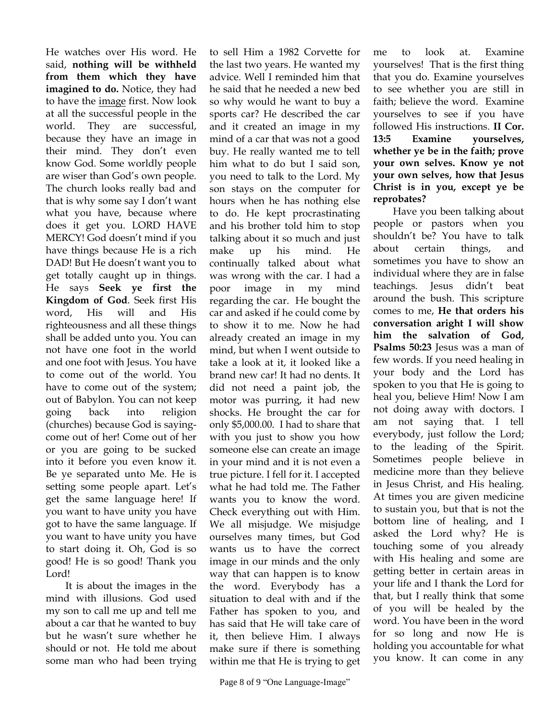He watches over His word. He said, **nothing will be withheld from them which they have imagined to do.** Notice, they had to have the image first. Now look at all the successful people in the world. They are successful, because they have an image in their mind. They don't even know God. Some worldly people are wiser than God's own people. The church looks really bad and that is why some say I don't want what you have, because where does it get you. LORD HAVE MERCY! God doesn't mind if you have things because He is a rich DAD! But He doesn't want you to get totally caught up in things. He says **Seek ye first the Kingdom of God**. Seek first His word, His will and His righteousness and all these things shall be added unto you. You can not have one foot in the world and one foot with Jesus. You have to come out of the world. You have to come out of the system; out of Babylon. You can not keep going back into religion (churches) because God is sayingcome out of her! Come out of her or you are going to be sucked into it before you even know it. Be ye separated unto Me. He is setting some people apart. Let's get the same language here! If you want to have unity you have got to have the same language. If you want to have unity you have to start doing it. Oh, God is so good! He is so good! Thank you Lord!

It is about the images in the mind with illusions. God used my son to call me up and tell me about a car that he wanted to buy but he wasn't sure whether he should or not. He told me about some man who had been trying

to sell Him a 1982 Corvette for the last two years. He wanted my advice. Well I reminded him that he said that he needed a new bed so why would he want to buy a sports car? He described the car and it created an image in my mind of a car that was not a good buy. He really wanted me to tell him what to do but I said son, you need to talk to the Lord. My son stays on the computer for hours when he has nothing else to do. He kept procrastinating and his brother told him to stop talking about it so much and just make up his mind. He continually talked about what was wrong with the car. I had a poor image in my mind regarding the car. He bought the car and asked if he could come by to show it to me. Now he had already created an image in my mind, but when I went outside to take a look at it, it looked like a brand new car! It had no dents. It did not need a paint job, the motor was purring, it had new shocks. He brought the car for only \$5,000.00. I had to share that with you just to show you how someone else can create an image in your mind and it is not even a true picture. I fell for it. I accepted what he had told me. The Father wants you to know the word. Check everything out with Him. We all misjudge. We misjudge ourselves many times, but God wants us to have the correct image in our minds and the only way that can happen is to know the word. Everybody has a situation to deal with and if the Father has spoken to you, and has said that He will take care of it, then believe Him. I always make sure if there is something within me that He is trying to get

me to look at. Examine yourselves! That is the first thing that you do. Examine yourselves to see whether you are still in faith; believe the word. Examine yourselves to see if you have followed His instructions. **II Cor. 13:5 Examine yourselves, whether ye be in the faith; prove your own selves. Know ye not your own selves, how that Jesus Christ is in you, except ye be reprobates?**

Have you been talking about people or pastors when you shouldn't be? You have to talk about certain things, and sometimes you have to show an individual where they are in false teachings. Jesus didn't beat around the bush. This scripture comes to me, **He that orders his conversation aright I will show him the salvation of God, Psalms 50:23** Jesus was a man of few words. If you need healing in your body and the Lord has spoken to you that He is going to heal you, believe Him! Now I am not doing away with doctors. I am not saying that. I tell everybody, just follow the Lord; to the leading of the Spirit. Sometimes people believe in medicine more than they believe in Jesus Christ, and His healing. At times you are given medicine to sustain you, but that is not the bottom line of healing, and I asked the Lord why? He is touching some of you already with His healing and some are getting better in certain areas in your life and I thank the Lord for that, but I really think that some of you will be healed by the word. You have been in the word for so long and now He is holding you accountable for what you know. It can come in any